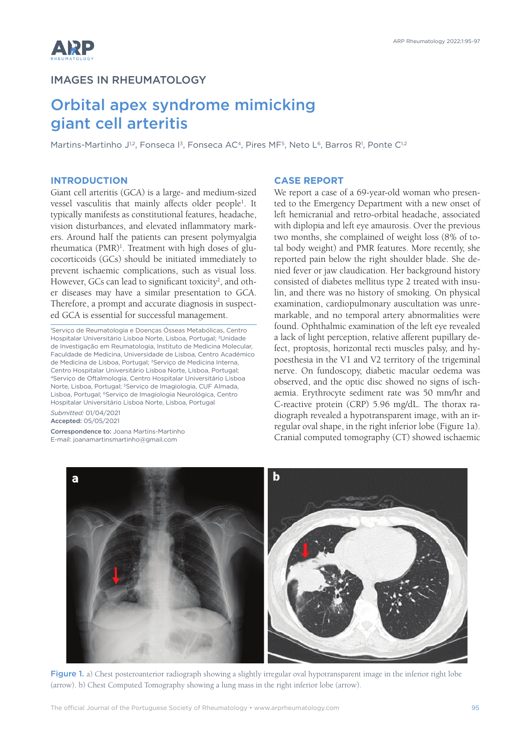

## IMAGES IN RHEUMATOLOGY

# Orbital apex syndrome mimicking giant cell arteritis

Martins-Martinho J<sup>1,2</sup>, Fonseca I<sup>3</sup>, Fonseca AC<sup>4</sup>, Pires MF<sup>5</sup>, Neto L<sup>6</sup>, Barros R<sup>1</sup>, Ponte C<sup>1,2</sup>

### **INTRODUCTION**

Giant cell arteritis (GCA) is a large- and medium-sized vessel vasculitis that mainly affects older people<sup>1</sup>. It typically manifests as constitutional features, headache, vision disturbances, and elevated inflammatory markers. Around half the patients can present polymyalgia rheumatica (PMR)<sup>1</sup>. Treatment with high doses of glucocorticoids (GCs) should be initiated immediately to prevent ischaemic complications, such as visual loss. However, GCs can lead to significant toxicity<sup>2</sup>, and other diseases may have a similar presentation to GCA. Therefore, a prompt and accurate diagnosis in suspected GCA is essential for successful management.

1 Serviço de Reumatologia e Doenças Ósseas Metabólicas, Centro Hospitalar Universitário Lisboa Norte, Lisboa, Portugal; 2Unidade de Investigação em Reumatologia, Instituto de Medicina Molecular, Faculdade de Medicina, Universidade de Lisboa, Centro Académico de Medicina de Lisboa, Portugal; <sup>3</sup>Serviço de Medicina Interna, Centro Hospitalar Universitário Lisboa Norte, Lisboa, Portugal; <sup>4</sup>Serviço de Oftalmologia, Centro Hospitalar Universitário Lisboa Norte, Lisboa, Portugal; 5Serviço de Imagiologia, CUF Almada, Lisboa, Portugal; 6Serviço de Imagiologia Neurológica, Centro Hospitalar Universitário Lisboa Norte, Lisboa, Portugal

*Submitted:* 01/04/2021 Accepted: 05/05/2021

Correspondence to: Joana Martins-Martinho E-mail: joanamartinsmartinho@gmail.com

### **CASE REPORT**

We report a case of a 69-year-old woman who presented to the Emergency Department with a new onset of left hemicranial and retro-orbital headache, associated with diplopia and left eye amaurosis. Over the previous two months, she complained of weight loss (8% of total body weight) and PMR features. More recently, she reported pain below the right shoulder blade. She denied fever or jaw claudication. Her background history consisted of diabetes mellitus type 2 treated with insulin, and there was no history of smoking. On physical examination, cardiopulmonary auscultation was unremarkable, and no temporal artery abnormalities were found. Ophthalmic examination of the left eye revealed a lack of light perception, relative afferent pupillary defect, proptosis, horizontal recti muscles palsy, and hypoesthesia in the V1 and V2 territory of the trigeminal nerve. On fundoscopy, diabetic macular oedema was observed, and the optic disc showed no signs of ischaemia. Erythrocyte sediment rate was 50 mm/hr and C-reactive protein (CRP) 5.96 mg/dL. The thorax radiograph revealed a hypotransparent image, with an irregular oval shape, in the right inferior lobe (Figure 1a). Cranial computed tomography (CT) showed ischaemic



Figure 1. a) Chest posteroanterior radiograph showing a slightly irregular oval hypotransparent image in the inferior right lobe (arrow). b) Chest Computed Tomography showing a lung mass in the right inferior lobe (arrow).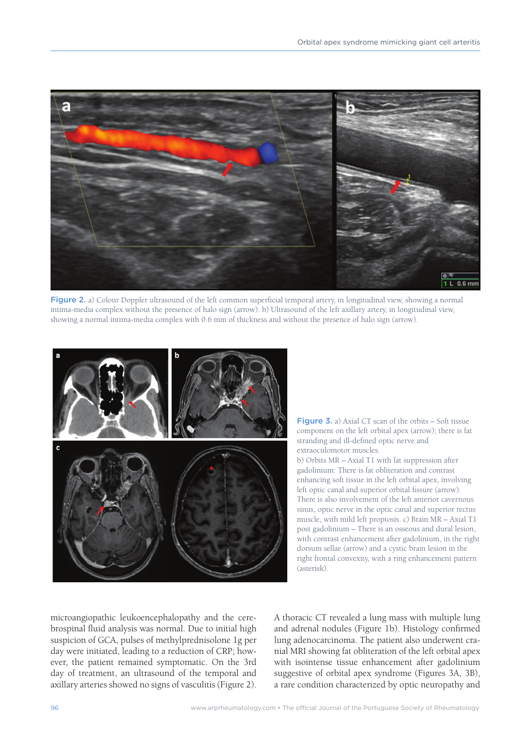

Figure 2. a) Colour Doppler ultrasound of the left common superficial temporal artery, in longitudinal view, showing a normal intima-media complex without the presence of halo sign (arrow). b) Ultrasound of the left axillary artery, in longitudinal view, showing a normal intima-media complex with 0.6 mm of thickness and without the presence of halo sign (arrow).



Figure 3. a) Axial CT scan of the orbits – Soft tissue component on the left orbital apex (arrow); there is fat stranding and ill-defined optic nerve and extraoculomotor muscles.

b) Orbits MR – Axial T1 with fat suppression after gadolinium: There is fat obliteration and contrast enhancing soft tissue in the left orbital apex, involving left optic canal and superior orbital fissure (arrow). There is also involvement of the left anterior cavernous sinus, optic nerve in the optic canal and superior rectus muscle, with mild left proptosis. c) Brain MR – Axial T1 post gadolinium – There is an osseous and dural lesion, with contrast enhancement after gadolinium, in the right dorsum sellae (arrow) and a cystic brain lesion in the right frontal convexity, with a ring enhancement pattern (asterisk).

microangiopathic leukoencephalopathy and the cerebrospinal fluid analysis was normal. Due to initial high suspicion of GCA, pulses of methylprednisolone 1g per day were initiated, leading to a reduction of CRP; however, the patient remained symptomatic. On the 3rd day of treatment, an ultrasound of the temporal and axillary arteries showed no signs of vasculitis (Figure 2). A thoracic CT revealed a lung mass with multiple lung and adrenal nodules (Figure 1b). Histology confirmed lung adenocarcinoma. The patient also underwent cranial MRI showing fat obliteration of the left orbital apex with isointense tissue enhancement after gadolinium suggestive of orbital apex syndrome (Figures 3A, 3B), a rare condition characterized by optic neuropathy and